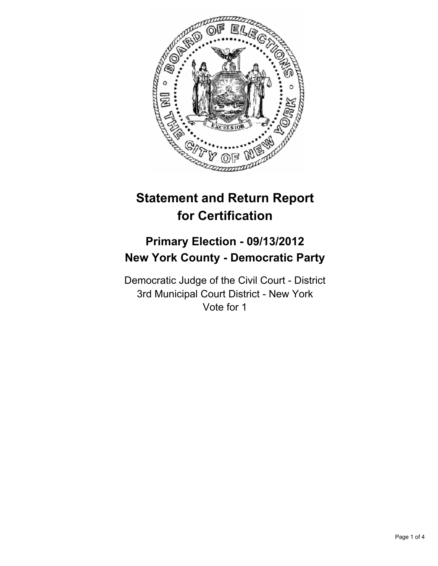

# **Statement and Return Report for Certification**

# **Primary Election - 09/13/2012 New York County - Democratic Party**

Democratic Judge of the Civil Court - District 3rd Municipal Court District - New York Vote for 1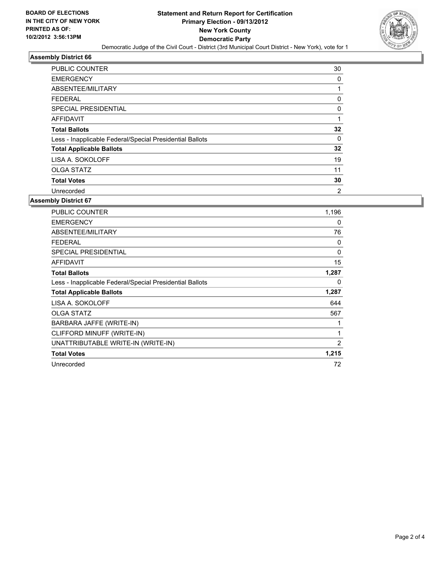

# **Assembly District 66**

| <b>PUBLIC COUNTER</b>                                    | 30             |
|----------------------------------------------------------|----------------|
| <b>EMERGENCY</b>                                         | 0              |
| ABSENTEE/MILITARY                                        |                |
| <b>FEDERAL</b>                                           | 0              |
| <b>SPECIAL PRESIDENTIAL</b>                              | 0              |
| AFFIDAVIT                                                |                |
| <b>Total Ballots</b>                                     | 32             |
| Less - Inapplicable Federal/Special Presidential Ballots | 0              |
| <b>Total Applicable Ballots</b>                          | 32             |
| LISA A. SOKOLOFF                                         | 19             |
| <b>OLGA STATZ</b>                                        | 11             |
| <b>Total Votes</b>                                       | 30             |
| Unrecorded                                               | $\overline{2}$ |

# **Assembly District 67**

| PUBLIC COUNTER                                           | 1,196 |
|----------------------------------------------------------|-------|
| <b>EMERGENCY</b>                                         | 0     |
| ABSENTEE/MILITARY                                        | 76    |
| <b>FEDERAL</b>                                           | 0     |
| <b>SPECIAL PRESIDENTIAL</b>                              | 0     |
| <b>AFFIDAVIT</b>                                         | 15    |
| <b>Total Ballots</b>                                     | 1,287 |
| Less - Inapplicable Federal/Special Presidential Ballots | 0     |
| <b>Total Applicable Ballots</b>                          | 1,287 |
| LISA A. SOKOLOFF                                         | 644   |
| <b>OLGA STATZ</b>                                        | 567   |
| BARBARA JAFFE (WRITE-IN)                                 | 1     |
| CLIFFORD MINUFF (WRITE-IN)                               | 1     |
| UNATTRIBUTABLE WRITE-IN (WRITE-IN)                       | 2     |
| <b>Total Votes</b>                                       | 1,215 |
| Unrecorded                                               |       |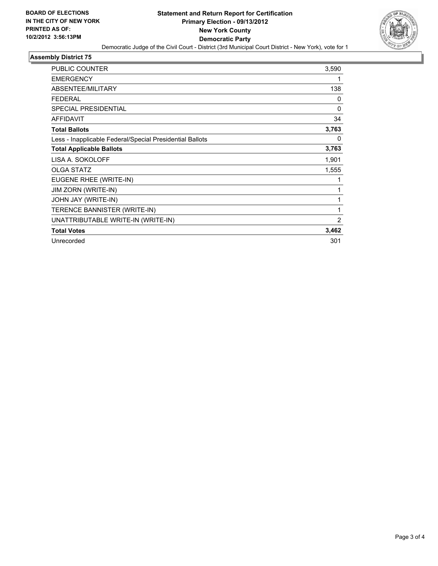

### **Assembly District 75**

| <b>PUBLIC COUNTER</b>                                    | 3,590        |
|----------------------------------------------------------|--------------|
|                                                          |              |
| <b>EMERGENCY</b>                                         | 1            |
| ABSENTEE/MILITARY                                        | 138          |
| <b>FEDERAL</b>                                           | 0            |
| <b>SPECIAL PRESIDENTIAL</b>                              | $\mathbf{0}$ |
| <b>AFFIDAVIT</b>                                         | 34           |
| <b>Total Ballots</b>                                     | 3,763        |
| Less - Inapplicable Federal/Special Presidential Ballots | 0            |
| <b>Total Applicable Ballots</b>                          | 3,763        |
| LISA A. SOKOLOFF                                         | 1,901        |
| <b>OLGA STATZ</b>                                        | 1,555        |
| EUGENE RHEE (WRITE-IN)                                   | 1            |
| <b>JIM ZORN (WRITE-IN)</b>                               | 1            |
| JOHN JAY (WRITE-IN)                                      | 1            |
| TERENCE BANNISTER (WRITE-IN)                             | 1            |
| UNATTRIBUTABLE WRITE-IN (WRITE-IN)                       | 2            |
| <b>Total Votes</b>                                       | 3,462        |
| Unrecorded                                               | 301          |